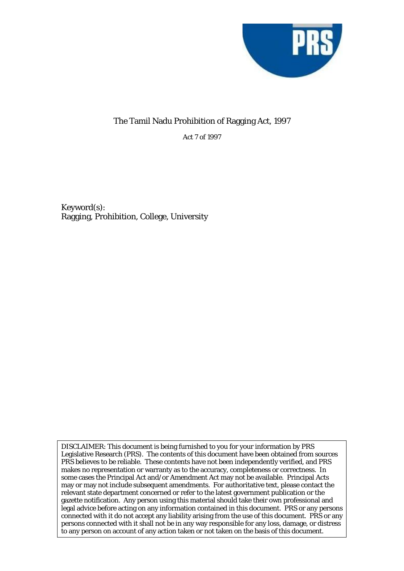

## The Tamil Nadu Prohibition of Ragging Act, 1997

Act 7 of 1997

Keyword(s): Ragging, Prohibition, College, University

DISCLAIMER: This document is being furnished to you for your information by PRS Legislative Research (PRS). The contents of this document have been obtained from sources PRS believes to be reliable. These contents have not been independently verified, and PRS makes no representation or warranty as to the accuracy, completeness or correctness. In some cases the Principal Act and/or Amendment Act may not be available. Principal Acts may or may not include subsequent amendments. For authoritative text, please contact the relevant state department concerned or refer to the latest government publication or the gazette notification. Any person using this material should take their own professional and legal advice before acting on any information contained in this document. PRS or any persons connected with it do not accept any liability arising from the use of this document. PRS or any persons connected with it shall not be in any way responsible for any loss, damage, or distress to any person on account of any action taken or not taken on the basis of this document.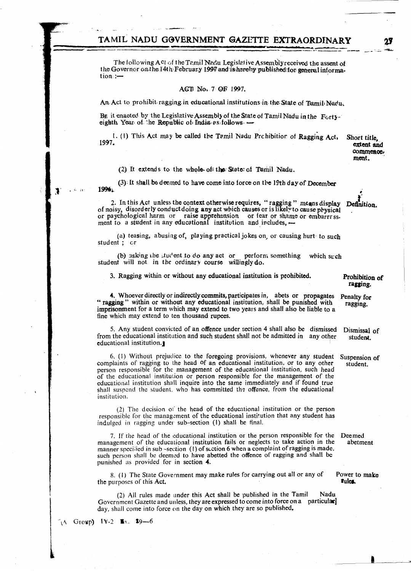### TAMIL NADU GOVERNMENT GAZETTE EXTRAORDINARY

The following Act of the Tamil Nadu Legislative Assembly received the assent of the Governor on the 14th February 1997 and is hereby published for general information:-

#### ACT No. 7 OF 1997.

An Act to prohibit ragging in educational institutions in the State of Tamil Nadu.

BE it enaoted by the Legislative Assembly of the State of Tamil Nadu in the Fortyeighth Year of the Republic of India as follows -

1. (1) This Act may be called the Tamil Nadu Probibition of Ragging Act, 1997.

Short title, extent and commence. ment.

(2) It extends to the whole of the State of Tamil Nadu.

(3) It shall be deemed to have come into force on the 19th day of December 1996

2. In this Act unless the context otherwise requires, "ragging" means display Definition. of noisy, disorderly conduct doing any act which causes or is likely to cause physical or paychological harm or raise apprehension or fear or shame or embarrassment to a student in any educational institution and includes, -

(a) teasing, abusing of, playing practical jokes on, or causing hurt to such student; cr

(b) asking the student to do any act or perform something which such student will not in the ordinary course willingly do.

3. Ragging within or without any educational institution is prohibited.

4. Whoever directly or indirectly commits, participates in, abets or propagates "ragging" within or without any educational institution, shall be punished with imprisonment for a term which may extend to two years and shall also be liable to a fine which may extend to ten thousand rupees.

5. Any student convicted of an offence under section 4 shall also be dismissed from the educational institution and such student shall not be admitted in any other educational institution.

6. (1) Without prejudice to the foregoing provisions, whenever any student complaints of ragging to the head of an educational institution, or to any other person responsible for the management of the educational institution, such head of the educational institution or person responsible for the management of the educational institution shall inquire into the same immediately and if found true shall suspend the student, who has committed the offence, from the educational institution.

(2) The decision of the head of the educational institution or the person responsible for the management of the educational institution that any student has indulged in ragging under sub-section (1) shall be final.

7. If the head of the educational institution or the person responsible for the management of the educational institution fails or neglects to take action in the manner specified in sub-section (1) of section 6 when a complaint of ragging is made, such person shall be deemed to have abetted the offence of ragging and shall be punished as provided for in section 4.

8. (1) The State Government may make rules for carrying out all or any of the purposes of this Act.

(2) All rules made under this Act shall be published in the Tamil Nadu Government Gazette and unless, they are expressed to come into force on a particular day, shall come into force on the day on which they are so published.

Deemed abetment

Power to make Fulcs.

Group) IV-2  $\mathbb{R}$ x. \$9-6 ÑΛ

Prohibition of ragging.

Penalty for ragging.

student.

Dismissal of

Suspension of student.